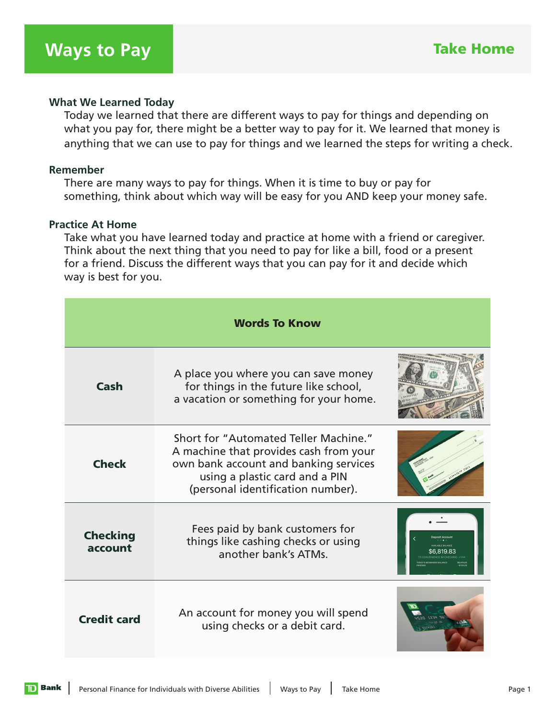## **What We Learned Today**

 Today we learned that there are different ways to pay for things and depending on what you pay for, there might be a better way to pay for it. We learned that money is anything that we can use to pay for things and we learned the steps for writing a check.

## **Remember**

 There are many ways to pay for things. When it is time to buy or pay for something, think about which way will be easy for you AND keep your money safe.

## **Practice At Home**

 Take what you have learned today and practice at home with a friend or caregiver. Think about the next thing that you need to pay for like a bill, food or a present for a friend. Discuss the different ways that you can pay for it and decide which way is best for you.

| <b>Words To Know</b>       |                                                                                                                                                                                                 |                                |
|----------------------------|-------------------------------------------------------------------------------------------------------------------------------------------------------------------------------------------------|--------------------------------|
| Cash                       | A place you where you can save money<br>for things in the future like school,<br>a vacation or something for your home.                                                                         |                                |
| <b>Check</b>               | Short for "Automated Teller Machine."<br>A machine that provides cash from your<br>own bank account and banking services<br>using a plastic card and a PIN<br>(personal identification number). |                                |
| <b>Checking</b><br>account | Fees paid by bank customers for<br>things like cashing checks or using<br>another bank's ATMs.                                                                                                  |                                |
| <b>Credit card</b>         | An account for money you will spend<br>using checks or a debit card.                                                                                                                            | 4520 1534 54<br><b>CHONYAS</b> |